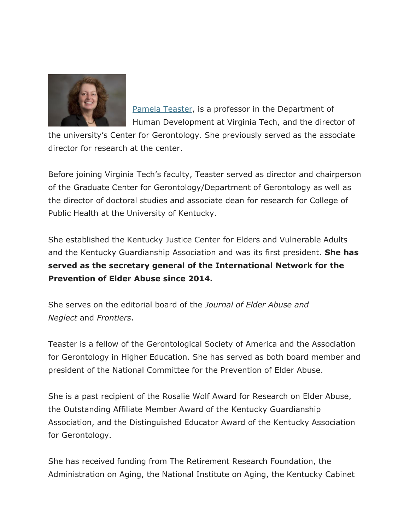

[Pamela Teaster,](http://liberalarts.vt.edu/faculty-directory/human-development-faculty/pamela-teaster.html) is a professor in the Department of Human Development at Virginia Tech, and the director of

the university's Center for Gerontology. She previously served as the associate director for research at the center.

Before joining Virginia Tech's faculty, Teaster served as director and chairperson of the Graduate Center for Gerontology/Department of Gerontology as well as the director of doctoral studies and associate dean for research for College of Public Health at the University of Kentucky.

She established the Kentucky Justice Center for Elders and Vulnerable Adults and the Kentucky Guardianship Association and was its first president. **She has served as the secretary general of the International Network for the Prevention of Elder Abuse since 2014.**

She serves on the editorial board of the *Journal of Elder Abuse and Neglect* and *Frontiers*.

Teaster is a fellow of the Gerontological Society of America and the Association for Gerontology in Higher Education. She has served as both board member and president of the National Committee for the Prevention of Elder Abuse.

She is a past recipient of the Rosalie Wolf Award for Research on Elder Abuse, the Outstanding Affiliate Member Award of the Kentucky Guardianship Association, and the Distinguished Educator Award of the Kentucky Association for Gerontology.

She has received funding from The Retirement Research Foundation, the Administration on Aging, the National Institute on Aging, the Kentucky Cabinet